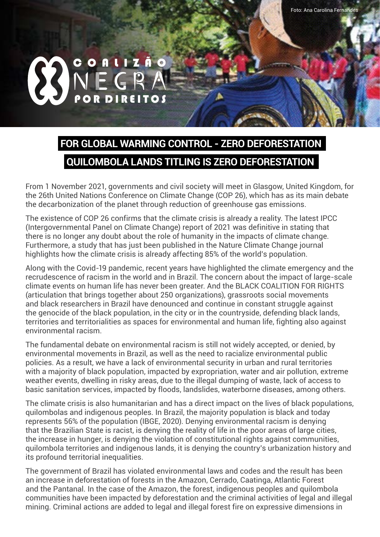## $N \mathsf{E} \mathsf{G} \mathsf{R} A$ POR DIREITOS C O A L I Z Ã O

## **FOR GLOBAL WARMING CONTROL - ZERO DEFORESTATION QUILOMBOLA LANDS TITLING IS ZERO DEFORESTATION**

From 1 November 2021, governments and civil society will meet in Glasgow, United Kingdom, for the 26th United Nations Conference on Climate Change (COP 26), which has as its main debate the decarbonization of the planet through reduction of greenhouse gas emissions.

The existence of COP 26 confirms that the climate crisis is already a reality. The latest IPCC (Intergovernmental Panel on Climate Change) report of 2021 was definitive in stating that there is no longer any doubt about the role of humanity in the impacts of climate change. Furthermore, a study that has just been published in the Nature Climate Change journal highlights how the climate crisis is already affecting 85% of the world's population.

Along with the Covid-19 pandemic, recent years have highlighted the climate emergency and the recrudescence of racism in the world and in Brazil. The concern about the impact of large-scale climate events on human life has never been greater. And the BLACK COALITION FOR RIGHTS (articulation that brings together about 250 organizations), grassroots social movements and black researchers in Brazil have denounced and continue in constant struggle against the genocide of the black population, in the city or in the countryside, defending black lands, territories and territorialities as spaces for environmental and human life, fighting also against environmental racism.

The fundamental debate on environmental racism is still not widely accepted, or denied, by environmental movements in Brazil, as well as the need to racialize environmental public policies. As a result, we have a lack of environmental security in urban and rural territories with a majority of black population, impacted by expropriation, water and air pollution, extreme weather events, dwelling in risky areas, due to the illegal dumping of waste, lack of access to basic sanitation services, impacted by floods, landslides, waterborne diseases, among others.

The climate crisis is also humanitarian and has a direct impact on the lives of black populations, quilombolas and indigenous peoples. In Brazil, the majority population is black and today represents 56% of the population (IBGE, 2020). Denying environmental racism is denying that the Brazilian State is racist, is denying the reality of life in the poor areas of large cities, the increase in hunger, is denying the violation of constitutional rights against communities, quilombola territories and indigenous lands, it is denying the country's urbanization history and its profound territorial inequalities.

The government of Brazil has violated environmental laws and codes and the result has been an increase in deforestation of forests in the Amazon, Cerrado, Caatinga, Atlantic Forest and the Pantanal. In the case of the Amazon, the forest, indigenous peoples and quilombola communities have been impacted by deforestation and the criminal activities of legal and illegal mining. Criminal actions are added to legal and illegal forest fire on expressive dimensions in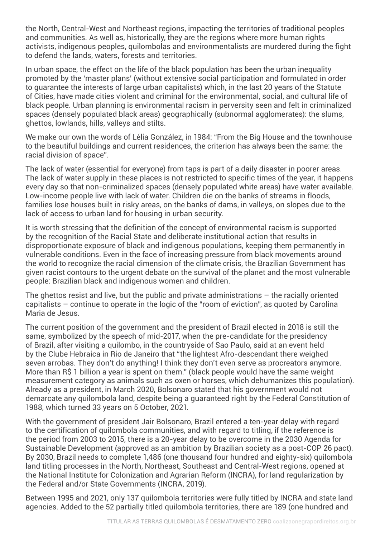the North, Central-West and Northeast regions, impacting the territories of traditional peoples and communities. As well as, historically, they are the regions where more human rights activists, indigenous peoples, quilombolas and environmentalists are murdered during the fight to defend the lands, waters, forests and territories.

In urban space, the effect on the life of the black population has been the urban inequality promoted by the 'master plans' (without extensive social participation and formulated in order to guarantee the interests of large urban capitalists) which, in the last 20 years of the Statute of Cities, have made cities violent and criminal for the environmental, social, and cultural life of black people. Urban planning is environmental racism in perversity seen and felt in criminalized spaces (densely populated black areas) geographically (subnormal agglomerates): the slums, ghettos, lowlands, hills, valleys and stilts.

We make our own the words of Lélia González, in 1984: "From the Big House and the townhouse to the beautiful buildings and current residences, the criterion has always been the same: the racial division of space".

The lack of water (essential for everyone) from taps is part of a daily disaster in poorer areas. The lack of water supply in these places is not restricted to specific times of the year, it happens every day so that non-criminalized spaces (densely populated white areas) have water available. Low-income people live with lack of water. Children die on the banks of streams in floods, families lose houses built in risky areas, on the banks of dams, in valleys, on slopes due to the lack of access to urban land for housing in urban security.

It is worth stressing that the definition of the concept of environmental racism is supported by the recognition of the Racial State and deliberate institutional action that results in disproportionate exposure of black and indigenous populations, keeping them permanently in vulnerable conditions. Even in the face of increasing pressure from black movements around the world to recognize the racial dimension of the climate crisis, the Brazilian Government has given racist contours to the urgent debate on the survival of the planet and the most vulnerable people: Brazilian black and indigenous women and children.

The ghettos resist and live, but the public and private administrations – the racially oriented capitalists – continue to operate in the logic of the "room of eviction", as quoted by Carolina Maria de Jesus.

The current position of the government and the president of Brazil elected in 2018 is still the same, symbolized by the speech of mid-2017, when the pre-candidate for the presidency of Brazil, after visiting a quilombo, in the countryside of Sao Paulo, said at an event held by the Clube Hebraica in Rio de Janeiro that "the lightest Afro-descendant there weighed seven arrobas. They don't do anything! I think they don't even serve as procreators anymore. More than R\$ 1 billion a year is spent on them." (black people would have the same weight measurement category as animals such as oxen or horses, which dehumanizes this population). Already as a president, in March 2020, Bolsonaro stated that his government would not demarcate any quilombola land, despite being a guaranteed right by the Federal Constitution of 1988, which turned 33 years on 5 October, 2021.

With the government of president Jair Bolsonaro, Brazil entered a ten-year delay with regard to the certification of quilombola communities, and with regard to titling, if the reference is the period from 2003 to 2015, there is a 20-year delay to be overcome in the 2030 Agenda for Sustainable Development (approved as an ambition by Brazilian society as a post-COP 26 pact). By 2030, Brazil needs to complete 1,486 (one thousand four hundred and eighty-six) quilombola land titling processes in the North, Northeast, Southeast and Central-West regions, opened at the National Institute for Colonization and Agrarian Reform (INCRA), for land regularization by the Federal and/or State Governments (INCRA, 2019).

Between 1995 and 2021, only 137 quilombola territories were fully titled by INCRA and state land agencies. Added to the 52 partially titled quilombola territories, there are 189 (one hundred and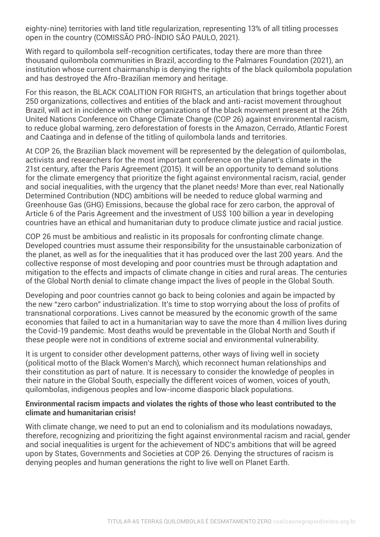eighty-nine) territories with land title regularization, representing 13% of all titling processes open in the country (COMISSÃO PRÓ-ÍNDIO SÃO PAULO, 2021).

With regard to quilombola self-recognition certificates, today there are more than three thousand quilombola communities in Brazil, according to the Palmares Foundation (2021), an institution whose current chairmanship is denying the rights of the black quilombola population and has destroyed the Afro-Brazilian memory and heritage.

For this reason, the BLACK COALITION FOR RIGHTS, an articulation that brings together about 250 organizations, collectives and entities of the black and anti-racist movement throughout Brazil, will act in incidence with other organizations of the black movement present at the 26th United Nations Conference on Change Climate Change (COP 26) against environmental racism, to reduce global warming, zero deforestation of forests in the Amazon, Cerrado, Atlantic Forest and Caatinga and in defense of the titling of quilombola lands and territories.

At COP 26, the Brazilian black movement will be represented by the delegation of quilombolas, activists and researchers for the most important conference on the planet's climate in the 21st century, after the Paris Agreement (2015). It will be an opportunity to demand solutions for the climate emergency that prioritize the fight against environmental racism, racial, gender and social inequalities, with the urgency that the planet needs! More than ever, real Nationally Determined Contribution (NDC) ambitions will be needed to reduce global warming and Greenhouse Gas (GHG) Emissions, because the global race for zero carbon, the approval of Article 6 of the Paris Agreement and the investment of US\$ 100 billion a year in developing countries have an ethical and humanitarian duty to produce climate justice and racial justice.

COP 26 must be ambitious and realistic in its proposals for confronting climate change. Developed countries must assume their responsibility for the unsustainable carbonization of the planet, as well as for the inequalities that it has produced over the last 200 years. And the collective response of most developing and poor countries must be through adaptation and mitigation to the effects and impacts of climate change in cities and rural areas. The centuries of the Global North denial to climate change impact the lives of people in the Global South.

Developing and poor countries cannot go back to being colonies and again be impacted by the new "zero carbon" industrialization. It's time to stop worrying about the loss of profits of transnational corporations. Lives cannot be measured by the economic growth of the same economies that failed to act in a humanitarian way to save the more than 4 million lives during the Covid-19 pandemic. Most deaths would be preventable in the Global North and South if these people were not in conditions of extreme social and environmental vulnerability.

It is urgent to consider other development patterns, other ways of living well in society (political motto of the Black Women's March), which reconnect human relationships and their constitution as part of nature. It is necessary to consider the knowledge of peoples in their nature in the Global South, especially the different voices of women, voices of youth, quilombolas, indigenous peoples and low-income diasporic black populations.

## **Environmental racism impacts and violates the rights of those who least contributed to the climate and humanitarian crisis!**

With climate change, we need to put an end to colonialism and its modulations nowadays, therefore, recognizing and prioritizing the fight against environmental racism and racial, gender and social inequalities is urgent for the achievement of NDC's ambitions that will be agreed upon by States, Governments and Societies at COP 26. Denying the structures of racism is denying peoples and human generations the right to live well on Planet Earth.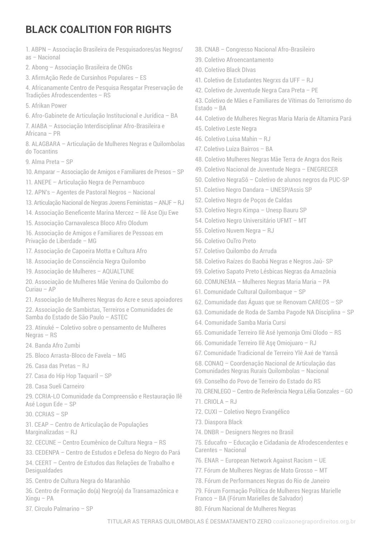## **BLACK COALITION FOR RIGHTS**

1. ABPN – Associação Brasileira de Pesquisadores/as Negros/ as – Nacional

2. Abong – Associação Brasileira de ONGs

3. AfirmAção Rede de Cursinhos Populares – ES

4. Africanamente Centro de Pesquisa Resgatar Preservação de Tradições Afrodescendentes – RS

- 5. Afrikan Power
- 6. Afro-Gabinete de Articulação Institucional e Jurídica BA

7. AIABA – Associação Interdisciplinar Afro-Brasileira e Africana – PR

8. ALAGBARA – Articulação de Mulheres Negras e Quilombolas do Tocantins

- 9. Alma Preta SP
- 10. Amparar Associação de Amigos e Familiares de Presos SP

11. ANEPE – Articulação Negra de Pernambuco

12. APN's – Agentes de Pastoral Negros – Nacional

- 13. Articulação Nacional de Negras Jovens Feministas ANJF RJ
- 14. Associação Beneficente Marina Mercez Ilê Ase Oju Ewe
- 15. Associação Carnavalesca Bloco Afro Olodum

16. Associação de Amigos e Familiares de Pessoas em Privação de Liberdade – MG

17. Associação de Capoeira Motta e Cultura Afro

18. Associação de Consciência Negra Quilombo

19. Associação de Mulheres – AQUALTUNE

20. Associação de Mulheres Mãe Venina do Quilombo do Curiau – AP

21. Associação de Mulheres Negras do Acre e seus apoiadores

22. Associação de Sambistas, Terreiros e Comunidades de Samba do Estado de São Paulo – ASTEC

23. Atinuké – Coletivo sobre o pensamento de Mulheres Negras – RS

24. Banda Afro Zumbi

25. Bloco Arrasta-Bloco de Favela – MG

26. Casa das Pretas – RJ

27. Casa do Hip Hop Taquaril – SP

28. Casa Sueli Carneiro

29. CCRIA-LO Comunidade da Compreensão e Restauração Ilê Asé Logun Ede – SP

30. CCRIAS – SP

- 31. CEAP Centro de Articulação de Populações Marginalizadas – RJ
- 32. CECUNE Centro Ecumênico de Cultura Negra RS
- 33. CEDENPA Centro de Estudos e Defesa do Negro do Pará

34. CEERT – Centro de Estudos das Relações de Trabalho e Desigualdades

35. Centro de Cultura Negra do Maranhão

36. Centro de Formação do(a) Negro(a) da Transamazônica e Xingu – PA

37. Círculo Palmarino – SP

- 38. CNAB Congresso Nacional Afro-Brasileiro
- 39. Coletivo Afroencantamento
- 40. Coletivo Black DIvas
- 41. Coletivo de Estudantes Negrxs da UFF RJ
- 42. Coletivo de Juventude Negra Cara Preta PE

43. Coletivo de Mães e Familiares de Vítimas do Terrorismo do Estado – BA

- 44. Coletivo de Mulheres Negras Maria Maria de Altamira Pará
- 45. Coletivo Leste Negra
- 46. Coletivo Luisa Mahin RJ
- 47. Coletivo Luiza Bairros BA
- 48. Coletivo Mulheres Negras Mãe Terra de Angra dos Reis
- 49. Coletivo Nacional de Juventude Negra ENEGRECER
- 50. Coletivo NegraSô Coletivo de alunos negros da PUC-SP
- 51. Coletivo Negro Dandara UNESP/Assis SP
- 52. Coletivo Negro de Poços de Caldas
- 53. Coletivo Negro Kimpa Unesp Bauru SP
- 54. Coletivo Negro Universitário UFMT MT
- 55. Coletivo Nuvem Negra RJ
- 56. Coletivo OuTro Preto
- 57. Coletivo Quilombo do Arruda
- 58. Coletivo Raízes do Baobá Negras e Negros Jaú- SP
- 59. Coletivo Sapato Preto Lésbicas Negras da Amazônia
- 60. COMUNEMA Mulheres Negras Maria Maria PA
- 61. Comunidade Cultural Quilombaque SP
- 62. Comunidade das Águas que se Renovam CAREOS SP
- 63. Comunidade de Roda de Samba Pagode NA Disciplina SP
- 64. Comunidade Samba Maria Cursi

65. Comunidade Terreiro Ilê Asé Iyemonja Omi Olodo – RS

- 66. Comunidade Terreiro Ilê Aşę Omiojuaro RJ
- 67. Comunidade Tradicional de Terreiro Ylê Axé de Yansã
- 68. CONAQ Coordenação Nacional de Articulação das Comunidades Negras Rurais Quilombolas – Nacional
- 69. Conselho do Povo de Terreiro do Estado do RS
- 70. CRENLEGO Centro de Referência Negra Lélia Gonzales GO
- 71. CRIOLA RJ
- 72. CUXI Coletivo Negro Evangélico
- 73. Diaspora Black
- 74. DNBR Designers Negres no Brasil
- 75. Educafro Educação e Cidadania de Afrodescendentes e Carentes – Nacional
- 76. ENAR European Network Against Racism UE
- 77. Fórum de Mulheres Negras de Mato Grosso MT
- 78. Fórum de Performances Negras do Rio de Janeiro
- 79. Fórum Formação Política de Mulheres Negras Marielle Franco – BA (Fórum Marielles de Salvador)
- 80. Fórum Nacional de Mulheres Negras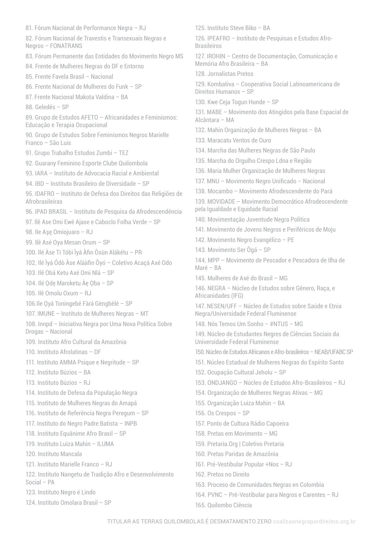81. Fórum Nacional de Performance Negra – RJ 82. Fórum Nacional de Travestis e Transexuais Negras e Negros – FONATRANS 83. Fórum Permanente das Entidades do Movimento Negro MS 84. Frente de Mulheres Negras do DF e Entorno 85. Frente Favela Brasil – Nacional 86. Frente Nacional de Mulheres do Funk – SP 87. Frente Nacional Makota Valdina – BA 88. Geledés – SP 89. Grupo de Estudos AFETO – Africanidades e Feminismos: Educação e Terapia Ocupacional 90. Grupo de Estudos Sobre Feminismos Negros Marielle Franco – São Luis 91. Grupo Trabalho Estudos Zumbi – TEZ 92. Guarany Feminino Esporte Clube Quilombola 93. IARA – Instituto de Advocacia Racial e Ambiental 94. IBD – Instituto Brasileiro de Diversidade – SP 95. IDAFRO – Instituto de Defesa dos Direitos das Religiões de Afrobrasileiras 96. IPAD BRASIL – Instituto de Pesquisa da Afrodescendência 97. Ilê Ase Omi Ewé Ajase e Caboclo Folha Verde – SP 98. Ile Aşę Omiojuaro – RJ 99. Ilê Asé Oya Mesan Orum – SP 100. Ilé Àse Ti Tóbi Ìyá Àfin Òsùn Alákétu – PR 102. Ilé Ìyá Ódò Àse Aláàfin Òyó – Coletivo Acaçá Axé Odo 103. Ilê Obá Ketu Axé Omi Nlá – SP 104. Ilé Ode Maroketu Àe Oba – SP 105. Ilê Omolu Oxum – RJ 106.Ile Ọyá Toningebé Fàrá Gèngbèlé – SP 107. IMUNE – Instituto de Mulheres Negras – MT 108. Innpd – Iniciativa Negra por Uma Nova Política Sobre Drogas – Nacional 109. Instituto Afro Cultural da Amazônia 110. Instituto Afrolatinas – DF 111. Instituto AMMA Psique e Negritude – SP 112. Instituto Búzios – BA 113. Instituto Búzios – RJ 114. Instituto de Defesa da População Negra 115. Instituto de Mulheres Negras do Amapá 116. Instituto de Referência Negra Peregum – SP 117. Instituto do Negro Padre Batista – INPB 118. Instituto Equânime Afro Brasil – SP 119. Instituto Luiza Mahin – ILUMA 120. Instituto Mancala 121. Instituto Marielle Franco – RJ 122. Instituto Nangetu de Tradição Afro e Desenvolvimento Social – PA 123. Instituto Negro é Lindo 124. Instituto Omolara Brasil – SP

125. Instituto Steve Biko – BA

126. IPEAFRO – Instituto de Pesquisas e Estudos Afro-Brasileiros

127. IROHIN – Centro de Documentação, Comunicação e Memória Afro Brasileira – BA

128. Jornalistas Pretos

129. Kombativa – Cooperativa Social Latinoamericana de Direitos Humanos – SP

130. Kwe Ceja Togun Hunde – SP

131. MABE – Movimento dos Atingidos pela Base Espacial de Alcântara – MA

132. Mahin Organização de Mulheres Negras – BA

133. Maracatu Ventos de Ouro

134. Marcha das Mulheres Negras de São Paulo

135. Marcha do Orgulho Crespo Ldna e Região

136. Maria Mulher Organização de Mulheres Negras

137. MNU – Movimento Negro Unificado – Nacional

138. Mocambo – Movimento Afrodescendente do Pará

139. MOVIDADE – Movimento Democrático Afrodescendente pela Igualdade e Equidade Racial

140. Movimentação Juventude Negra Política

141. Movimento de Jovens Negros e Periféricos de Moju

142. Movimento Negro Evangélico – PE

143. Movimento Ser Ògá – SP

144. MPP – Movimento de Pescador e Pescadora de Ilha de Maré – BA

145. Mulheres de Axé do Brasil – MG

146. NEGRA – Núcleo de Estudos sobre Gênero, Raça, e Africanidades (IFG)

147. NESEN/UFF – Núcleo de Estudos sobre Saúde e Etnia Negra/Universidade Federal Fluminense

148. Nós Temos Um Sonho – #NTUS – MG

149. Núcleo de Estudantes Negres de Ciências Sociais da Universidade Federal Fluminense

150. Núcleo de Estudos Africanos e Afro-brasileiros – NEAB/UFABC SP

151. Núcleo Estadual de Mulheres Negras do Espírito Santo

152. Ocupação Cultural Jeholu – SP

153. ONDJANGO – Núcleo de Estudos Afro-Brasileiros – RJ

154. Organização de Mulheres Negras Ativas – MG

155. Organização Luiza Mahin – BA

156. Os Crespos – SP

157. Ponto de Cultura Rádio Capoeira

158. Pretas em Movimento – MG

159. Pretaria.Org | Coletivo Pretaria

160. Pretas Paridas de Amazônia

161. Pré-Vestibular Popular +Nos – RJ

162. Pretos no Direito

163. Proceso de Comunidades Negras en Colombia

164. PVNC – Pré-Vestibular para Negros e Carentes – RJ

165. Quilombo Ciência